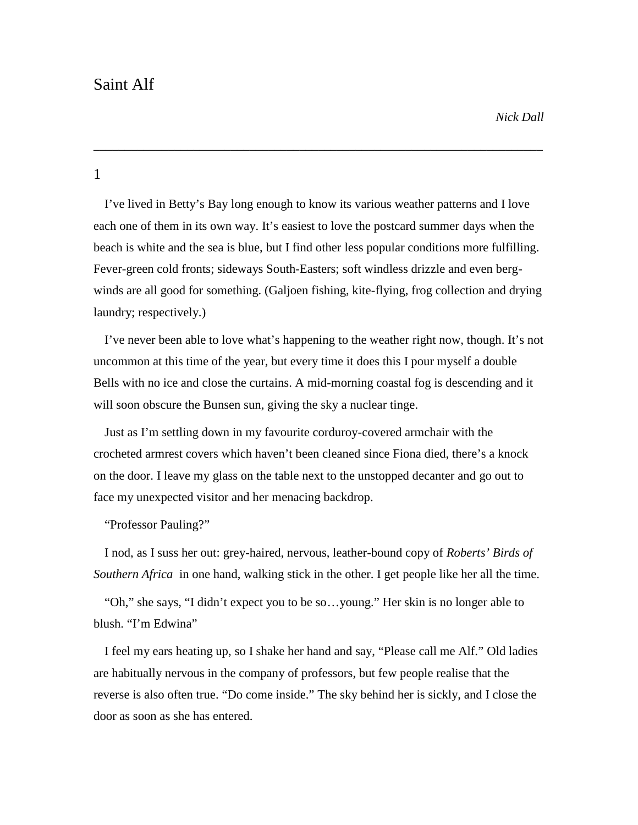# Saint Alf

## 1

I've lived in Betty's Bay long enough to know its various weather patterns and I love each one of them in its own way. It's easiest to love the postcard summer days when the beach is white and the sea is blue, but I find other less popular conditions more fulfilling. Fever-green cold fronts; sideways South-Easters; soft windless drizzle and even berg winds are all good for something. (Galjoen fishing, kite-flying, frog collection and drying laundry; respectively.)

\_\_\_\_\_\_\_\_\_\_\_\_\_\_\_\_\_\_\_\_\_\_\_\_\_\_\_\_\_\_\_\_\_\_\_\_\_\_\_\_\_\_\_\_\_\_\_\_\_\_\_\_\_\_\_\_\_\_\_\_\_\_\_\_\_\_\_\_\_\_\_\_

I've never been able to love what's happening to the weather right now, though. It's not uncommon at this time of the year, but every time it does this I pour myself a double Bells with no ice and close the curtains. A mid-morning coastal fog is descending and it will soon obscure the Bunsen sun, giving the sky a nuclear tinge.

Just as I'm settling down in my favourite corduroy-covered armchair with the crocheted armrest covers which haven't been cleaned since Fiona died, there's a knock on the door. I leave my glass on the table next to the unstopped decanter and go out to face my unexpected visitor and her menacing backdrop.

#### "Professor Pauling?"

I nod, as I suss her out: grey-haired, nervous, leather-bound copy of *Roberts' Birds of Southern Africa* in one hand, walking stick in the other. I get people like her all the time.

"Oh," she says, "I didn't expect you to be so…young." Her skin is no longer able to blush. "I'm Edwina"

I feel my ears heating up, so I shake her hand and say, "Please call me Alf." Old ladies are habitually nervous in the company of professors, but few people realise that the reverse is also often true. "Do come inside." The sky behind her is sickly, and I close the door as soon as she has entered.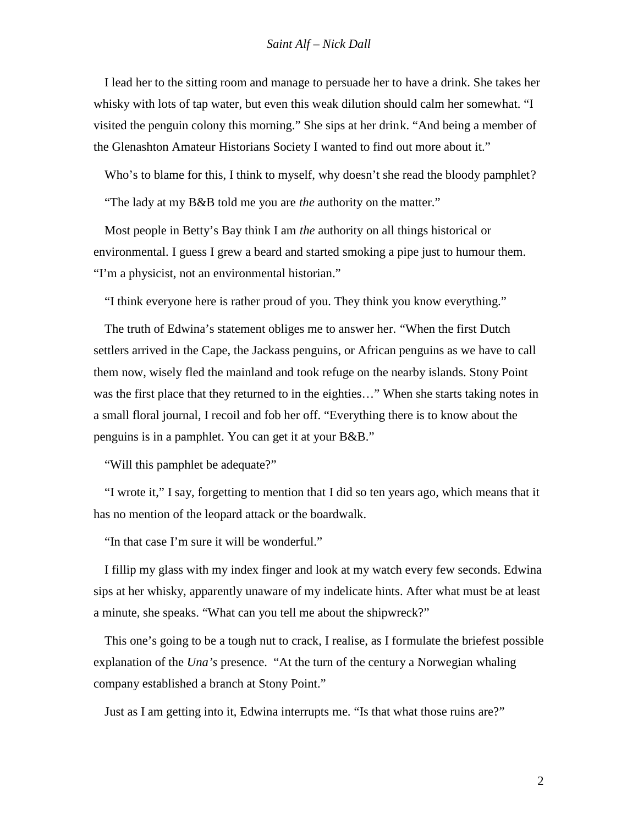I lead her to the sitting room and manage to persuade her to have a drink. She takes her whisky with lots of tap water, but even this weak dilution should calm her somewhat. "I visited the penguin colony this morning." She sips at her drink. "And being a member of the Glenashton Amateur Historians Society I wanted to find out more about it."

Who's to blame for this, I think to myself, why doesn't she read the bloody pamphlet?

"The lady at my B&B told me you are *the* authority on the matter."

Most people in Betty's Bay think I am *the* authority on all things historical or environmental. I guess I grew a beard and started smoking a pipe just to humour them. "I'm a physicist, not an environmental historian."

"I think everyone here is rather proud of you. They think you know everything."

The truth of Edwina's statement obliges me to answer her. "When the first Dutch settlers arrived in the Cape, the Jackass penguins, or African penguins as we have to call them now, wisely fled the mainland and took refuge on the nearby islands. Stony Point was the first place that they returned to in the eighties…" When she starts taking notes in a small floral journal, I recoil and fob her off. "Everything there is to know about the penguins is in a pamphlet. You can get it at your B&B."

"Will this pamphlet be adequate?"

"I wrote it," I say, forgetting to mention that I did so ten years ago, which means that it has no mention of the leopard attack or the boardwalk.

"In that case I'm sure it will be wonderful."

I fillip my glass with my index finger and look at my watch every few seconds. Edwina sips at her whisky, apparently unaware of my indelicate hints. After what must be at least a minute, she speaks. "What can you tell me about the shipwreck?"

This one's going to be a tough nut to crack, I realise, as I formulate the briefest possible explanation of the *Una's* presence. "At the turn of the century a Norwegian whaling company established a branch at Stony Point."

Just as I am getting into it, Edwina interrupts me. "Is that what those ruins are?"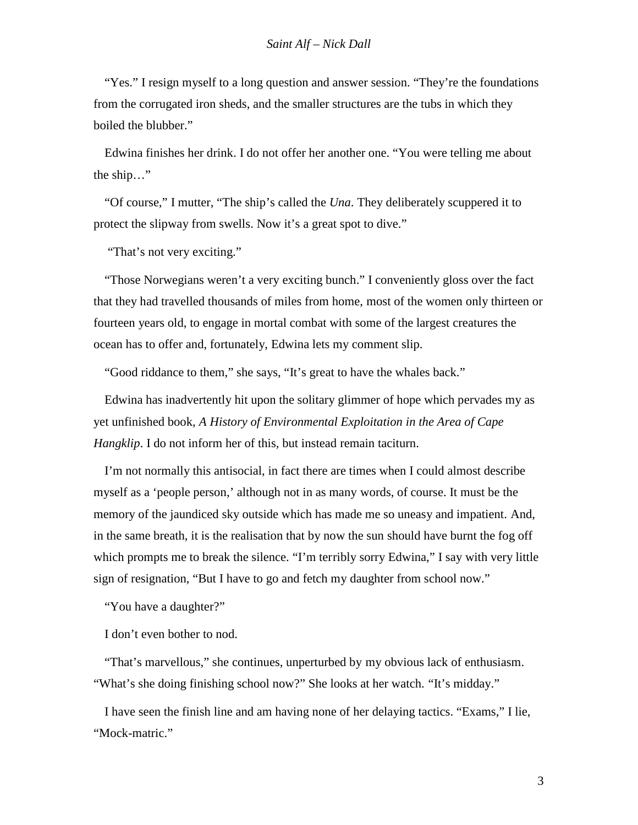"Yes." I resign myself to a long question and answer session. "They're the foundations from the corrugated iron sheds, and the smaller structures are the tubs in which they boiled the blubber."

Edwina finishes her drink. I do not offer her another one. "You were telling me about the ship…"

"Of course," I mutter, "The ship's called the *Una*. They deliberately scuppered it to protect the slipway from swells. Now it's a great spot to dive."

"That's not very exciting."

"Those Norwegians weren't a very exciting bunch." I conveniently gloss over the fact that they had travelled thousands of miles from home, most of the women only thirteen or fourteen years old, to engage in mortal combat with some of the largest creatures the ocean has to offer and, fortunately, Edwina lets my comment slip.

"Good riddance to them," she says, "It's great to have the whales back."

Edwina has inadvertently hit upon the solitary glimmer of hope which pervades my as yet unfinished book, *A History of Environmental Exploitation in the Area of Cape Hangklip*. I do not inform her of this, but instead remain taciturn.

I'm not normally this antisocial, in fact there are times when I could almost describe myself as a 'people person,' although not in as many words, of course. It must be the memory of the jaundiced sky outside which has made me so uneasy and impatient. And, in the same breath, it is the realisation that by now the sun should have burnt the fog off which prompts me to break the silence. "I'm terribly sorry Edwina," I say with very little sign of resignation, "But I have to go and fetch my daughter from school now."

"You have a daughter?"

I don't even bother to nod.

"That's marvellous," she continues, unperturbed by my obvious lack of enthusiasm. "What's she doing finishing school now?" She looks at her watch. "It's midday."

I have seen the finish line and am having none of her delaying tactics. "Exams," I lie, "Mock-matric."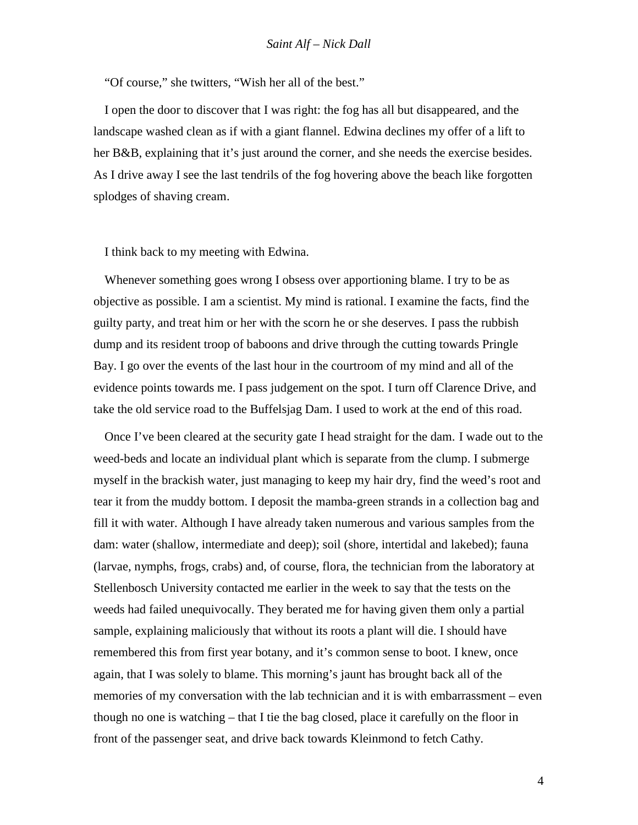"Of course," she twitters, "Wish her all of the best."

I open the door to discover that I was right: the fog has all but disappeared, and the landscape washed clean as if with a giant flannel. Edwina declines my offer of a lift to her B&B, explaining that it's just around the corner, and she needs the exercise besides. As I drive away I see the last tendrils of the fog hovering above the beach like forgotten splodges of shaving cream.

I think back to my meeting with Edwina.

Whenever something goes wrong I obsess over apportioning blame. I try to be as objective as possible. I am a scientist. My mind is rational. I examine the facts, find the guilty party, and treat him or her with the scorn he or she deserves. I pass the rubbish dump and its resident troop of baboons and drive through the cutting towards Pringle Bay. I go over the events of the last hour in the courtroom of my mind and all of the evidence points towards me. I pass judgement on the spot. I turn off Clarence Drive, and take the old service road to the Buffelsjag Dam. I used to work at the end of this road.

Once I've been cleared at the security gate I head straight for the dam. I wade out to the weed-beds and locate an individual plant which is separate from the clump. I submerge myself in the brackish water, just managing to keep my hair dry, find the weed's root and tear it from the muddy bottom. I deposit the mamba-green strands in a collection bag and fill it with water. Although I have already taken numerous and various samples from the dam: water (shallow, intermediate and deep); soil (shore, intertidal and lakebed); fauna (larvae, nymphs, frogs, crabs) and, of course, flora, the technician from the laboratory at Stellenbosch University contacted me earlier in the week to say that the tests on the weeds had failed unequivocally. They berated me for having given them only a partial sample, explaining maliciously that without its roots a plant will die. I should have remembered this from first year botany, and it's common sense to boot. I knew, once again, that I was solely to blame. This morning's jaunt has brought back all of the memories of my conversation with the lab technician and it is with embarrassment – even though no one is watching – that I tie the bag closed, place it carefully on the floor in front of the passenger seat, and drive back towards Kleinmond to fetch Cathy.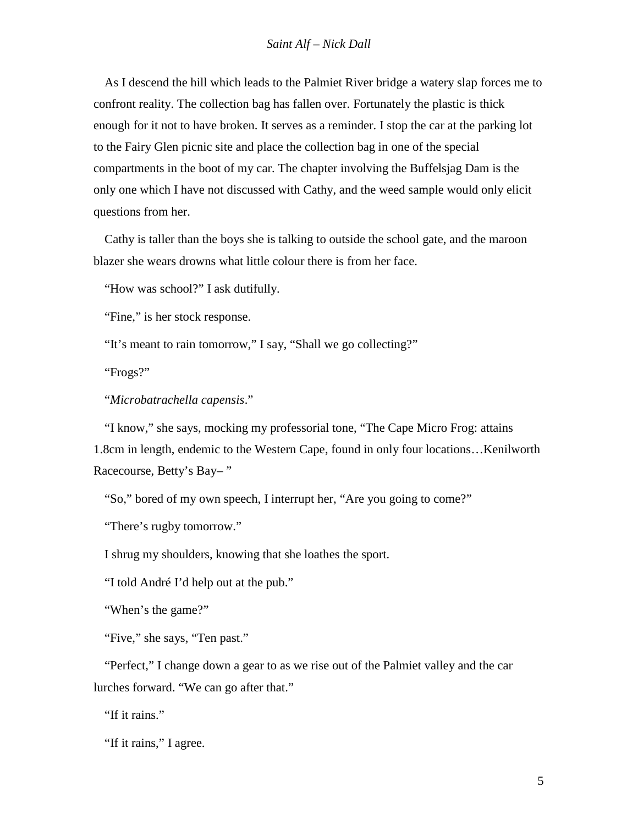As I descend the hill which leads to the Palmiet River bridge a watery slap forces me to confront reality. The collection bag has fallen over. Fortunately the plastic is thick enough for it not to have broken. It serves as a reminder. I stop the car at the parking lot to the Fairy Glen picnic site and place the collection bag in one of the special compartments in the boot of my car. The chapter involving the Buffelsjag Dam is the only one which I have not discussed with Cathy, and the weed sample would only elicit questions from her.

Cathy is taller than the boys she is talking to outside the school gate, and the maroon blazer she wears drowns what little colour there is from her face.

"How was school?" I ask dutifully.

"Fine," is her stock response.

"It's meant to rain tomorrow," I say, "Shall we go collecting?"

"Frogs?"

"*Microbatrachella capensis*."

"I know," she says, mocking my professorial tone, "The Cape Micro Frog: attains 1.8cm in length, endemic to the Western Cape, found in only four locations…Kenilworth Racecourse, Betty's Bay– "

"So," bored of my own speech, I interrupt her, "Are you going to come?"

"There's rugby tomorrow."

I shrug my shoulders, knowing that she loathes the sport.

"I told André I'd help out at the pub."

"When's the game?"

"Five," she says, "Ten past."

"Perfect," I change down a gear to as we rise out of the Palmiet valley and the car lurches forward. "We can go after that."

"If it rains."

"If it rains," I agree.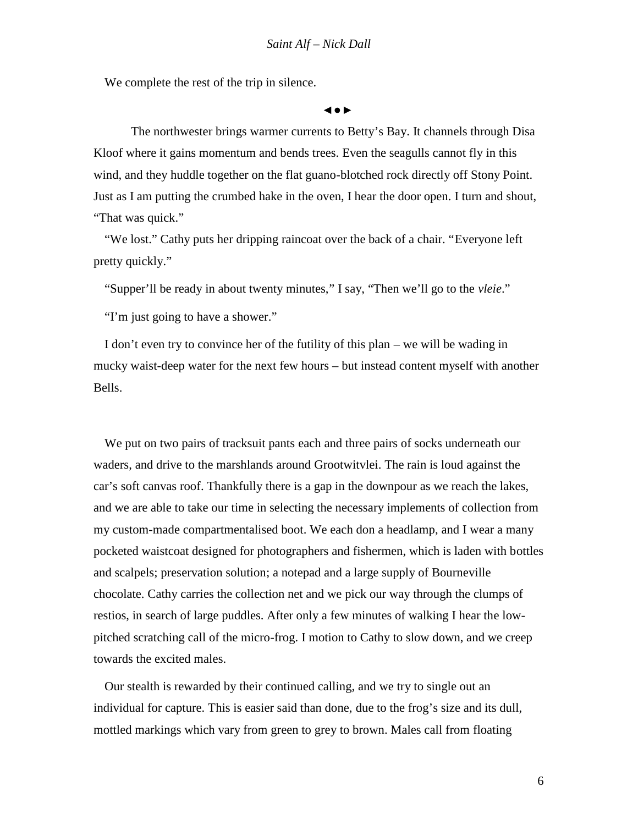We complete the rest of the trip in silence.

The northwester brings warmer currents to Betty's Bay. It channels through Disa Kloof where it gains momentum and bends trees. Even the seagulls cannot fly in this wind, and they huddle together on the flat guano-blotched rock directly off Stony Point. Just as I am putting the crumbed hake in the oven, I hear the door open. I turn and shout, "That was quick."

"We lost." Cathy puts her dripping raincoat over the back of a chair. "Everyone left pretty quickly."

"Supper'll be ready in about twenty minutes," I say, "Then we'll go to the *vleie*."

"I'm just going to have a shower."

I don't even try to convince her of the futility of this plan – we will be wading in mucky waist-deep water for the next few hours – but instead content myself with another Bells.

We put on two pairs of tracksuit pants each and three pairs of socks underneath our waders, and drive to the marshlands around Grootwitvlei. The rain is loud against the car's soft canvas roof. Thankfully there is a gap in the downpour as we reach the lakes, and we are able to take our time in selecting the necessary implements of collection from my custom-made compartmentalised boot. We each don a headlamp, and I wear a many pocketed waistcoat designed for photographers and fishermen, which is laden with bottles and scalpels; preservation solution; a notepad and a large supply of Bourneville chocolate. Cathy carries the collection net and we pick our way through the clumps of restios, in search of large puddles. After only a few minutes of walking I hear the low pitched scratching call of the micro-frog. I motion to Cathy to slow down, and we creep towards the excited males.

Our stealth is rewarded by their continued calling, and we try to single out an individual for capture. This is easier said than done, due to the frog's size and its dull, mottled markings which vary from green to grey to brown. Males call from floating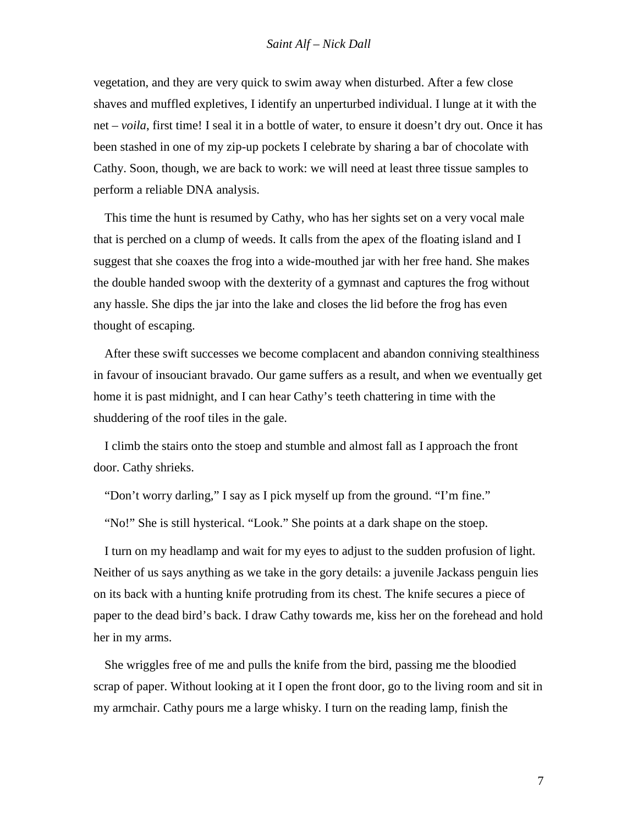vegetation, and they are very quick to swim away when disturbed. After a few close shaves and muffled expletives, I identify an unperturbed individual. I lunge at it with the net – *voila*, first time! I seal it in a bottle of water, to ensure it doesn't dry out. Once it has been stashed in one of my zip-up pockets I celebrate by sharing a bar of chocolate with Cathy. Soon, though, we are back to work: we will need at least three tissue samples to perform a reliable DNA analysis.

This time the hunt is resumed by Cathy, who has her sights set on a very vocal male that is perched on a clump of weeds. It calls from the apex of the floating island and I suggest that she coaxes the frog into a wide-mouthed jar with her free hand. She makes the double handed swoop with the dexterity of a gymnast and captures the frog without any hassle. She dips the jar into the lake and closes the lid before the frog has even thought of escaping.

After these swift successes we become complacent and abandon conniving stealthiness in favour of insouciant bravado. Our game suffers as a result, and when we eventually get home it is past midnight, and I can hear Cathy's teeth chattering in time with the shuddering of the roof tiles in the gale.

I climb the stairs onto the stoep and stumble and almost fall as I approach the front door. Cathy shrieks.

"Don't worry darling," I say as I pick myself up from the ground. "I'm fine."

"No!" She is still hysterical. "Look." She points at a dark shape on the stoep.

I turn on my headlamp and wait for my eyes to adjust to the sudden profusion of light. Neither of us says anything as we take in the gory details: a juvenile Jackass penguin lies on its back with a hunting knife protruding from its chest. The knife secures a piece of paper to the dead bird's back. I draw Cathy towards me, kiss her on the forehead and hold her in my arms.

She wriggles free of me and pulls the knife from the bird, passing me the bloodied scrap of paper. Without looking at it I open the front door, go to the living room and sit in my armchair. Cathy pours me a large whisky. I turn on the reading lamp, finish the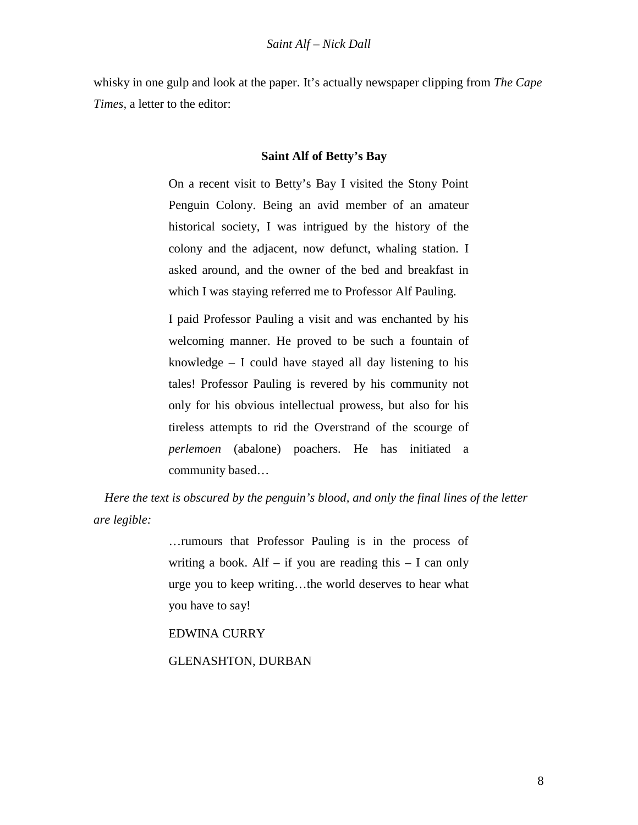whisky in one gulp and look at the paper. It's actually newspaper clipping from *The Cape Times,* a letter to the editor:

### **Saint Alf of Betty's Bay**

On a recent visit to Betty's Bay I visited the Stony Point Penguin Colony. Being an avid member of an amateur historical society, I was intrigued by the history of the colony and the adjacent, now defunct, whaling station. I asked around, and the owner of the bed and breakfast in which I was staying referred me to Professor Alf Pauling.

I paid Professor Pauling a visit and was enchanted by his welcoming manner. He proved to be such a fountain of knowledge – I could have stayed all day listening to his tales! Professor Pauling is revered by his community not only for his obvious intellectual prowess, but also for his tireless attempts to rid the Overstrand of the scourge of *perlemoen* (abalone) poachers. He has initiated a community based…

*Here the text is obscured by the penguin's blood, and only the final lines of the letter are legible:*

> …rumours that Professor Pauling is in the process of writing a book. Alf – if you are reading this  $- I$  can only urge you to keep writing…the world deserves to hear what you have to say!

EDWINA CURRY

GLENASHTON, DURBAN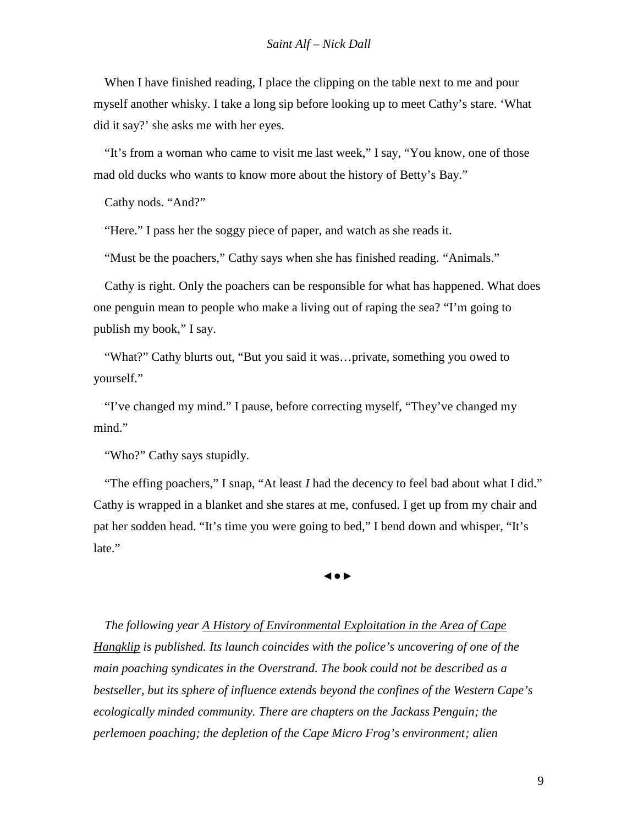When I have finished reading, I place the clipping on the table next to me and pour myself another whisky. I take a long sip before looking up to meet Cathy's stare. 'What did it say?' she asks me with her eyes.

"It's from a woman who came to visit me last week," I say, "You know, one of those mad old ducks who wants to know more about the history of Betty's Bay."

Cathy nods. "And?"

"Here." I pass her the soggy piece of paper, and watch as she reads it.

"Must be the poachers," Cathy says when she has finished reading. "Animals."

Cathy is right. Only the poachers can be responsible for what has happened. What does one penguin mean to people who make a living out of raping the sea? "I'm going to publish my book," I say.

"What?" Cathy blurts out, "But you said it was…private, something you owed to yourself."

"I've changed my mind." I pause, before correcting myself, "They've changed my mind."

"Who?" Cathy says stupidly.

"The effing poachers," I snap, "At least *I* had the decency to feel bad about what I did." Cathy is wrapped in a blanket and she stares at me, confused. I get up from my chair and pat her sodden head. "It's time you were going to bed," I bend down and whisper, "It's late."

*The following year A History of Environmental Exploitation in the Area of Cape Hangklip is published. Its launch coincides with the police's uncovering of one of the main poaching syndicates in the Overstrand. The book could not be described as a bestseller, but its sphere of influence extends beyond the confines of the Western Cape's ecologically minded community. There are chapters on the Jackass Penguin; the perlemoen poaching; the depletion of the Cape Micro Frog's environment; alien*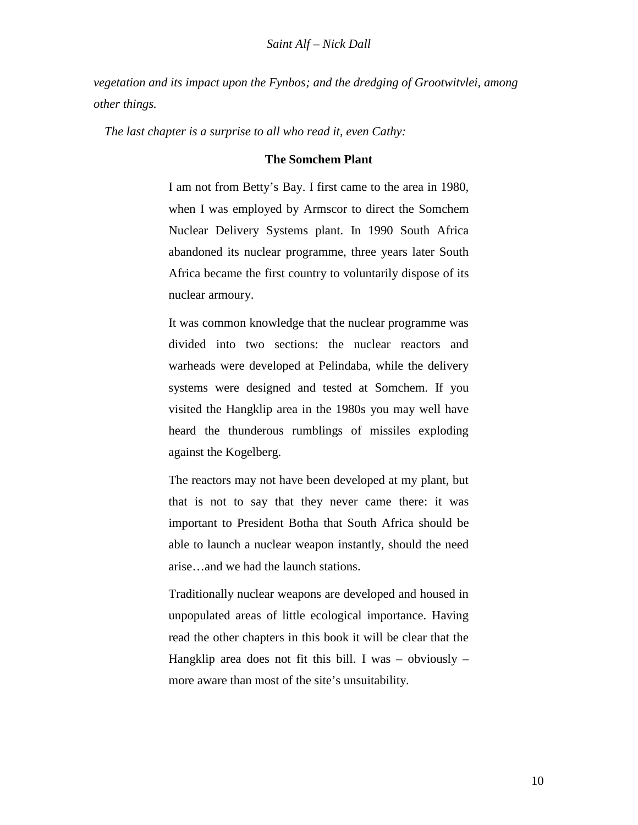*vegetation and its impact upon the Fynbos; and the dredging of Grootwitvlei, among other things.*

*The last chapter is a surprise to all who read it, even Cathy:*

### **The Somchem Plant**

I am not from Betty's Bay. I first came to the area in 1980, when I was employed by Armscor to direct the Somchem Nuclear Delivery Systems plant. In 1990 South Africa abandoned its nuclear programme, three years later South Africa became the first country to voluntarily dispose of its nuclear armoury.

It was common knowledge that the nuclear programme was divided into two sections: the nuclear reactors and warheads were developed at Pelindaba, while the delivery systems were designed and tested at Somchem. If you visited the Hangklip area in the 1980s you may well have heard the thunderous rumblings of missiles exploding against the Kogelberg.

The reactors may not have been developed at my plant, but that is not to say that they never came there: it was important to President Botha that South Africa should be able to launch a nuclear weapon instantly, should the need arise…and we had the launch stations.

Traditionally nuclear weapons are developed and housed in unpopulated areas of little ecological importance. Having read the other chapters in this book it will be clear that the Hangklip area does not fit this bill. I was – obviously – more aware than most of the site's unsuitability.